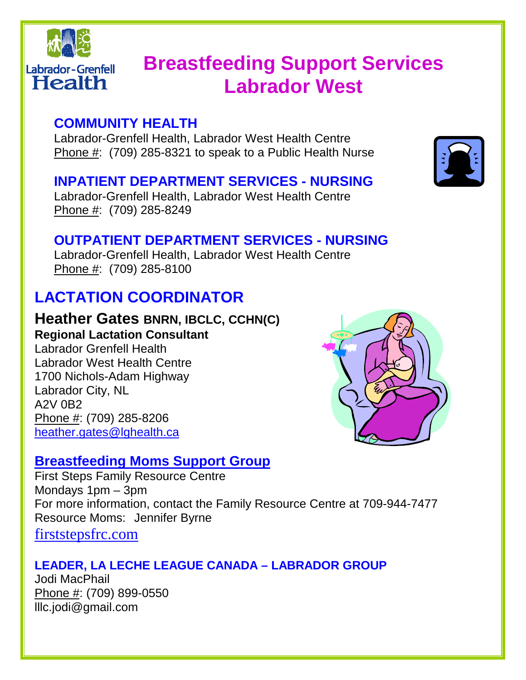

# **Breastfeeding Support Services Labrador West**

# **COMMUNITY HEALTH**

Labrador-Grenfell Health, Labrador West Health Centre Phone #: (709) 285-8321 to speak to a Public Health Nurse

### **INPATIENT DEPARTMENT SERVICES - NURSING**

Labrador-Grenfell Health, Labrador West Health Centre Phone #: (709) 285-8249

### **OUTPATIENT DEPARTMENT SERVICES - NURSING**

Labrador-Grenfell Health, Labrador West Health Centre Phone #: (709) 285-8100

# **LACTATION COORDINATOR**

# **Heather Gates BNRN, IBCLC, CCHN(C)**

**Regional Lactation Consultant**  Labrador Grenfell Health Labrador West Health Centre 1700 Nichols-Adam Highway Labrador City, NL A2V 0B2 Phone #: (709) 285-8206 heather.gates@lghealth.ca

# **Breastfeeding Moms Support Group**

First Steps Family Resource Centre Mondays 1pm – 3pm For more information, contact the Family Resource Centre at 709-944-7477 Resource Moms: Jennifer Byrne firststepsfrc.com

### **LEADER, LA LECHE LEAGUE CANADA – LABRADOR GROUP**

Jodi MacPhail Phone #: (709) 899-0550 lllc.jodi@gmail.com